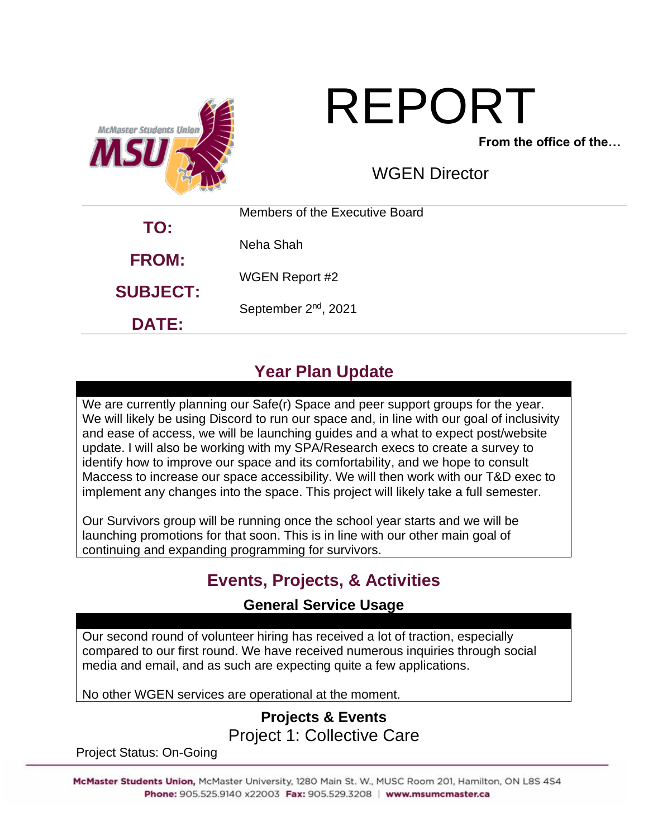

# REPORT

**From the office of the…**

WGEN Director

|                 | Members of the Executive Board   |
|-----------------|----------------------------------|
| TO:             | Neha Shah                        |
| <b>FROM:</b>    | WGEN Report #2                   |
| <b>SUBJECT:</b> | September 2 <sup>nd</sup> , 2021 |
| <b>DATE:</b>    |                                  |

# **Year Plan Update**

We are currently planning our Safe(r) Space and peer support groups for the year. We will likely be using Discord to run our space and, in line with our goal of inclusivity and ease of access, we will be launching guides and a what to expect post/website update. I will also be working with my SPA/Research execs to create a survey to identify how to improve our space and its comfortability, and we hope to consult Maccess to increase our space accessibility. We will then work with our T&D exec to implement any changes into the space. This project will likely take a full semester.

Our Survivors group will be running once the school year starts and we will be launching promotions for that soon. This is in line with our other main goal of continuing and expanding programming for survivors.

# **Events, Projects, & Activities**

#### **General Service Usage**

Our second round of volunteer hiring has received a lot of traction, especially compared to our first round. We have received numerous inquiries through social media and email, and as such are expecting quite a few applications.

No other WGEN services are operational at the moment.

## **Projects & Events** Project 1: Collective Care

Project Status: On-Going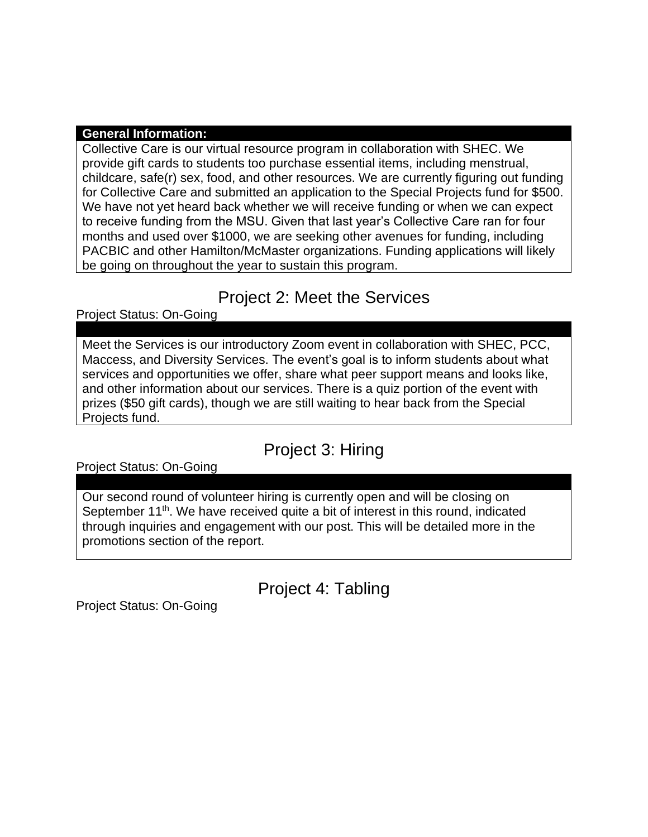#### **General Information:**

Collective Care is our virtual resource program in collaboration with SHEC. We provide gift cards to students too purchase essential items, including menstrual, childcare, safe(r) sex, food, and other resources. We are currently figuring out funding for Collective Care and submitted an application to the Special Projects fund for \$500. We have not yet heard back whether we will receive funding or when we can expect to receive funding from the MSU. Given that last year's Collective Care ran for four months and used over \$1000, we are seeking other avenues for funding, including PACBIC and other Hamilton/McMaster organizations. Funding applications will likely be going on throughout the year to sustain this program.

## Project 2: Meet the Services

Project Status: On-Going

Meet the Services is our introductory Zoom event in collaboration with SHEC, PCC, Maccess, and Diversity Services. The event's goal is to inform students about what services and opportunities we offer, share what peer support means and looks like, and other information about our services. There is a quiz portion of the event with prizes (\$50 gift cards), though we are still waiting to hear back from the Special Projects fund.

# Project 3: Hiring

Project Status: On-Going

Our second round of volunteer hiring is currently open and will be closing on September 11<sup>th</sup>. We have received quite a bit of interest in this round, indicated through inquiries and engagement with our post. This will be detailed more in the promotions section of the report.

Project 4: Tabling

Project Status: On-Going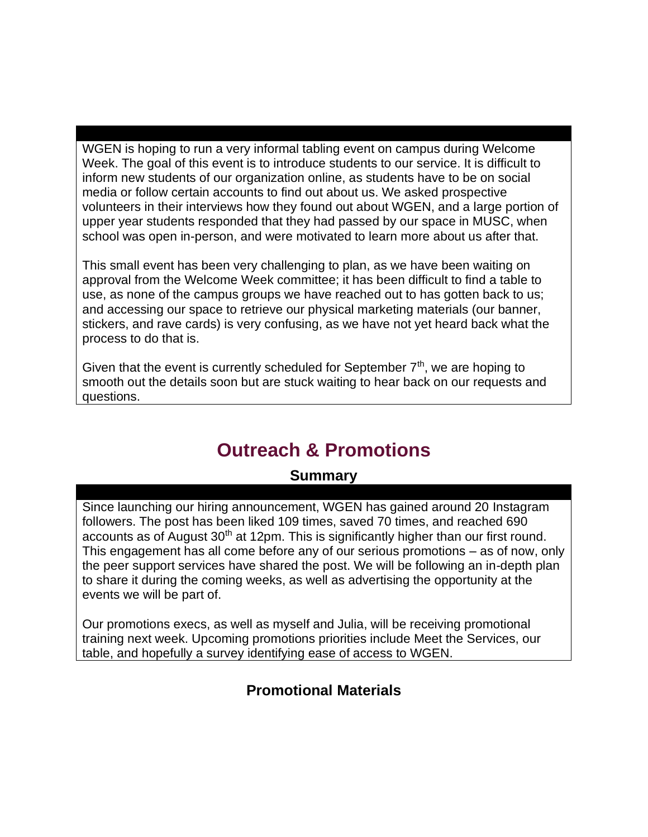WGEN is hoping to run a very informal tabling event on campus during Welcome Week. The goal of this event is to introduce students to our service. It is difficult to inform new students of our organization online, as students have to be on social media or follow certain accounts to find out about us. We asked prospective volunteers in their interviews how they found out about WGEN, and a large portion of upper year students responded that they had passed by our space in MUSC, when school was open in-person, and were motivated to learn more about us after that.

This small event has been very challenging to plan, as we have been waiting on approval from the Welcome Week committee; it has been difficult to find a table to use, as none of the campus groups we have reached out to has gotten back to us; and accessing our space to retrieve our physical marketing materials (our banner, stickers, and rave cards) is very confusing, as we have not yet heard back what the process to do that is.

Given that the event is currently scheduled for September  $7<sup>th</sup>$ , we are hoping to smooth out the details soon but are stuck waiting to hear back on our requests and questions.

# **Outreach & Promotions**

#### **Summary**

Since launching our hiring announcement, WGEN has gained around 20 Instagram followers. The post has been liked 109 times, saved 70 times, and reached 690 accounts as of August  $30<sup>th</sup>$  at 12pm. This is significantly higher than our first round. This engagement has all come before any of our serious promotions – as of now, only the peer support services have shared the post. We will be following an in-depth plan to share it during the coming weeks, as well as advertising the opportunity at the events we will be part of.

Our promotions execs, as well as myself and Julia, will be receiving promotional training next week. Upcoming promotions priorities include Meet the Services, our table, and hopefully a survey identifying ease of access to WGEN.

#### **Promotional Materials**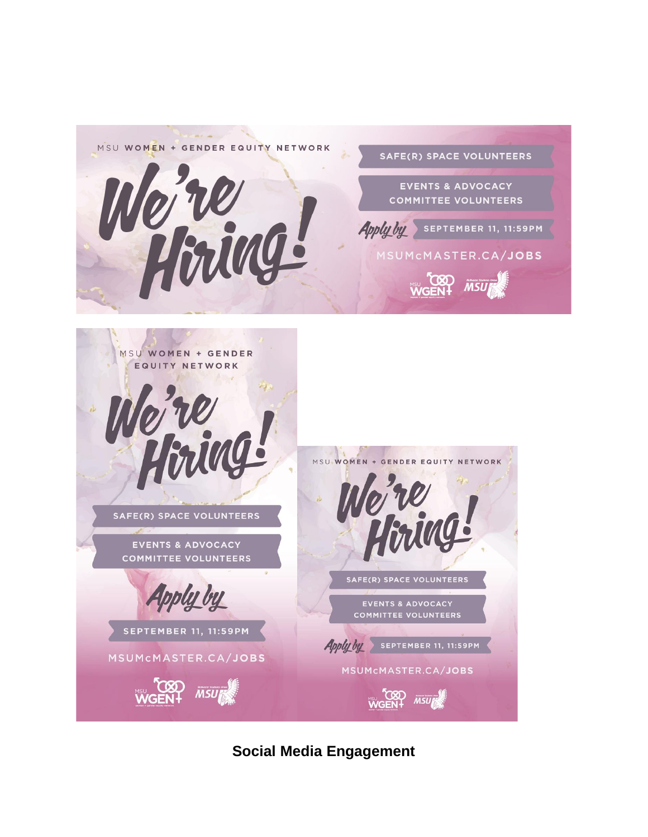

**Social Media Engagement**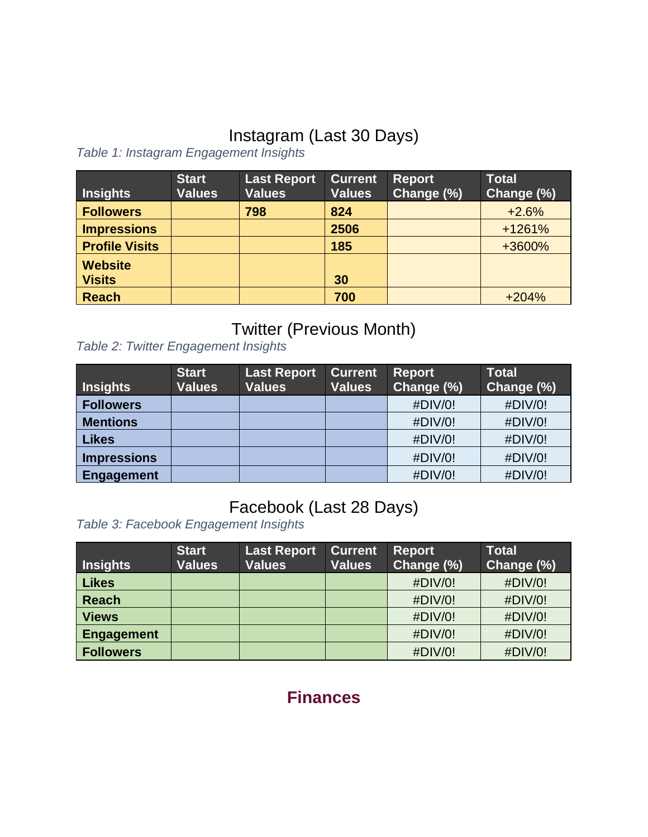# Instagram (Last 30 Days)

*Table 1: Instagram Engagement Insights*

| <b>Insights</b>                 | <b>Start</b><br><b>Values</b> | Last Report<br><b>Values</b> | <b>Current</b><br><b>Values</b> | <b>Report</b><br>Change (%) | <b>Total</b><br>Change (%) |
|---------------------------------|-------------------------------|------------------------------|---------------------------------|-----------------------------|----------------------------|
| <b>Followers</b>                |                               | 798                          | 824                             |                             | $+2.6%$                    |
| <b>Impressions</b>              |                               |                              | 2506                            |                             | $+1261%$                   |
| <b>Profile Visits</b>           |                               |                              | 185                             |                             | +3600%                     |
| <b>Website</b><br><b>Visits</b> |                               |                              | 30                              |                             |                            |
| <b>Reach</b>                    |                               |                              | 700                             |                             | $+204%$                    |

# Twitter (Previous Month)

*Table 2: Twitter Engagement Insights*

| <b>Insights</b>    | <b>Start</b><br><b>Values</b> | <b>Last Report</b><br><b>Values</b> | <b>Current</b><br><b>Values</b> | <b>Report</b><br>Change (%) | <b>Total</b><br>Change (%) |
|--------------------|-------------------------------|-------------------------------------|---------------------------------|-----------------------------|----------------------------|
| <b>Followers</b>   |                               |                                     |                                 | #DIV/0!                     | #DIV/0!                    |
| <b>Mentions</b>    |                               |                                     |                                 | #DIV/0!                     | #DIV/0!                    |
| <b>Likes</b>       |                               |                                     |                                 | #DIV/0!                     | #DIV/0!                    |
| <b>Impressions</b> |                               |                                     |                                 | #DIV/0!                     | #DIV/0!                    |
| Engagement         |                               |                                     |                                 | #DIV/0!                     | #DIV/0!                    |

# Facebook (Last 28 Days)

*Table 3: Facebook Engagement Insights*

| <b>Insights</b>   | <b>Start</b><br><b>Values</b> | <b>Last Report</b><br><b>Values</b> | <b>Current</b><br><b>Values</b> | <b>Report</b><br>Change (%) | Total<br>Change (%) |
|-------------------|-------------------------------|-------------------------------------|---------------------------------|-----------------------------|---------------------|
|                   |                               |                                     |                                 |                             |                     |
| <b>Likes</b>      |                               |                                     |                                 | #DIV/0!                     | #DIV/0!             |
| <b>Reach</b>      |                               |                                     |                                 | #DIV/0!                     | #DIV/0!             |
| <b>Views</b>      |                               |                                     |                                 | #DIV/0!                     | #DIV/0!             |
| <b>Engagement</b> |                               |                                     |                                 | #DIV/0!                     | #DIV/0!             |
| <b>Followers</b>  |                               |                                     |                                 | #DIV/0!                     | #DIV/0!             |

**Finances**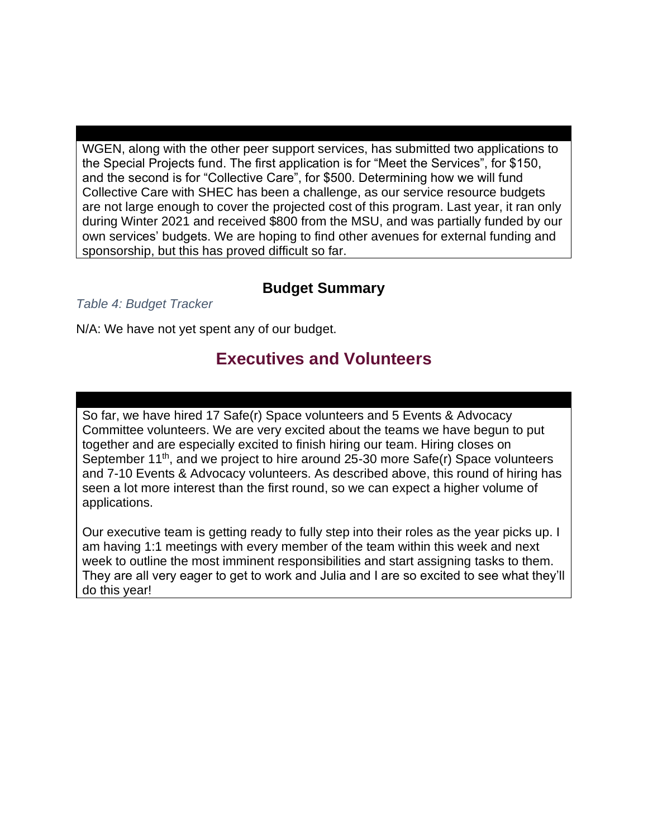WGEN, along with the other peer support services, has submitted two applications to the Special Projects fund. The first application is for "Meet the Services", for \$150, and the second is for "Collective Care", for \$500. Determining how we will fund Collective Care with SHEC has been a challenge, as our service resource budgets are not large enough to cover the projected cost of this program. Last year, it ran only during Winter 2021 and received \$800 from the MSU, and was partially funded by our own services' budgets. We are hoping to find other avenues for external funding and sponsorship, but this has proved difficult so far.

#### **Budget Summary**

*Table 4: Budget Tracker*

N/A: We have not yet spent any of our budget.

## **Executives and Volunteers**

So far, we have hired 17 Safe(r) Space volunteers and 5 Events & Advocacy Committee volunteers. We are very excited about the teams we have begun to put together and are especially excited to finish hiring our team. Hiring closes on September  $11<sup>th</sup>$ , and we project to hire around 25-30 more Safe(r) Space volunteers and 7-10 Events & Advocacy volunteers. As described above, this round of hiring has seen a lot more interest than the first round, so we can expect a higher volume of applications.

Our executive team is getting ready to fully step into their roles as the year picks up. I am having 1:1 meetings with every member of the team within this week and next week to outline the most imminent responsibilities and start assigning tasks to them. They are all very eager to get to work and Julia and I are so excited to see what they'll do this year!